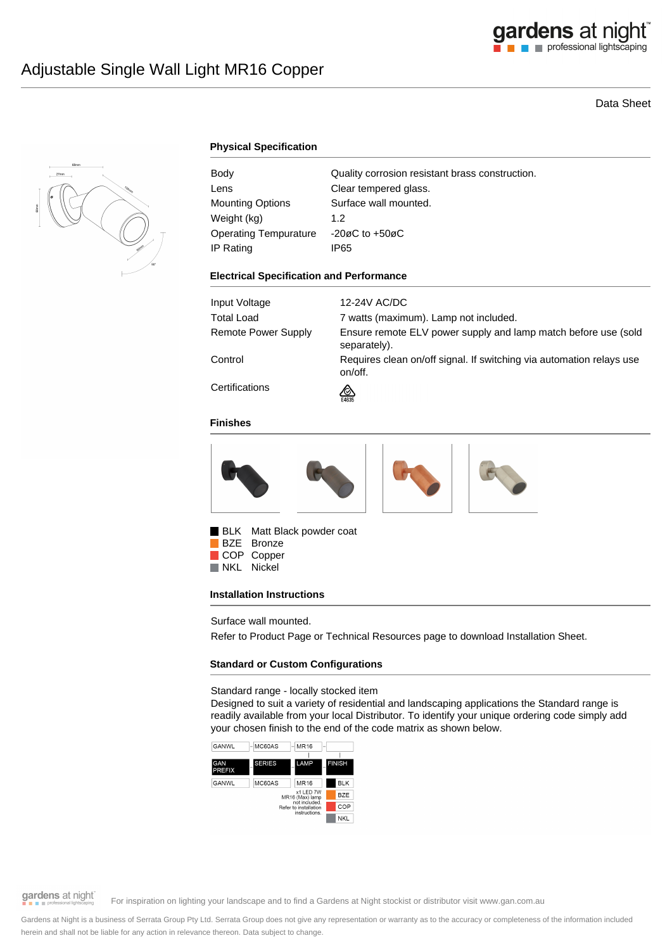

# Data Sheet



## **Physical Specification**

| Body                         | Quality corrosion resistant brass construction. |
|------------------------------|-------------------------------------------------|
| Lens                         | Clear tempered glass.                           |
| Mounting Options             | Surface wall mounted.                           |
| Weight (kg)                  | 1.2                                             |
| <b>Operating Tempurature</b> | $-20\varnothing$ C to $+50\varnothing$ C        |
| IP Rating                    | IP65                                            |

#### **Electrical Specification and Performance**

| Input Voltage       | 12-24V AC/DC                                                                    |
|---------------------|---------------------------------------------------------------------------------|
| Total Load          | 7 watts (maximum). Lamp not included.                                           |
| Remote Power Supply | Ensure remote ELV power supply and lamp match before use (sold<br>separately).  |
| Control             | Requires clean on/off signal. If switching via automation relays use<br>on/off. |
| Certifications      | জ<br>E4635                                                                      |

#### **Finishes**



BLK Matt Black powder coat

BZE Bronze COP Copper<br>NKL Nickel Nickel

### **Installation Instructions**

Surface wall mounted.

Refer to Product Page or Technical Resources page to download Installation Sheet.

### **Standard or Custom Configurations**

Standard range - locally stocked item

Designed to suit a variety of residential and landscaping applications the Standard range is readily available from your local Distributor. To identify your unique ordering code simply add your chosen finish to the end of the code matrix as shown below.





gardens at night

For inspiration on lighting your landscape and to find a Gardens at Night stockist or distributor visit www.gan.com.au

Gardens at Night is a business of Serrata Group Pty Ltd. Serrata Group does not give any representation or warranty as to the accuracy or completeness of the information included herein and shall not be liable for any action in relevance thereon. Data subject to change.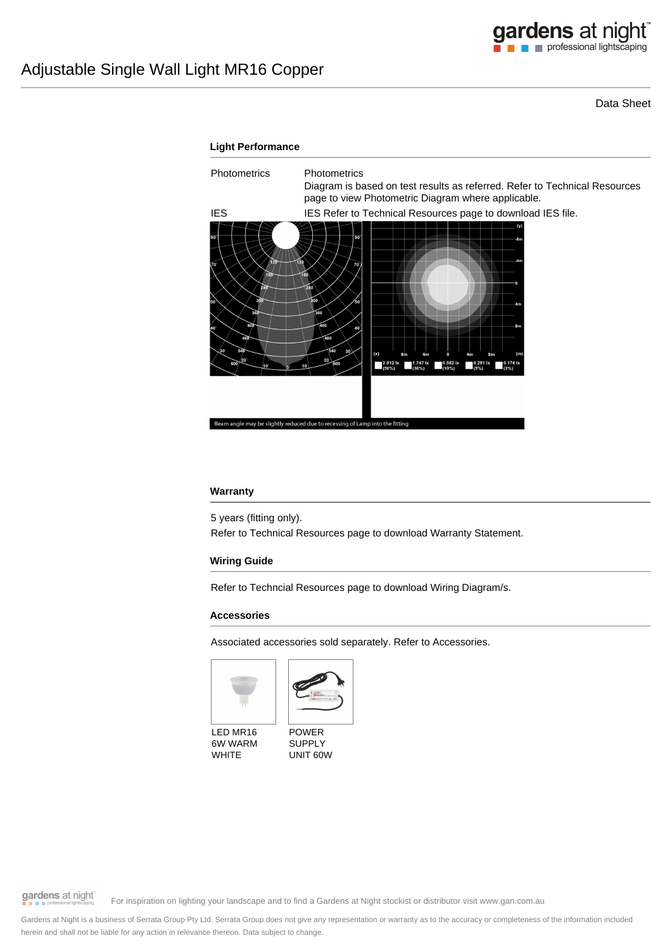Data Sheet



## **Warranty**

5 years (fitting only).

Refer to Technical Resources page to download Warranty Statement.

### **Wiring Guide**

Refer to Techncial Resources page to download Wiring Diagram/s.

### **Accessories**

Associated accessories sold separately. Refer to Accessories.





LED MR16 6W WARM WHITE



gardens at night

For inspiration on lighting your landscape and to find a Gardens at Night stockist or distributor visit www.gan.com.au

Gardens at Night is a business of Serrata Group Pty Ltd. Serrata Group does not give any representation or warranty as to the accuracy or completeness of the information included herein and shall not be liable for any action in relevance thereon. Data subject to change.